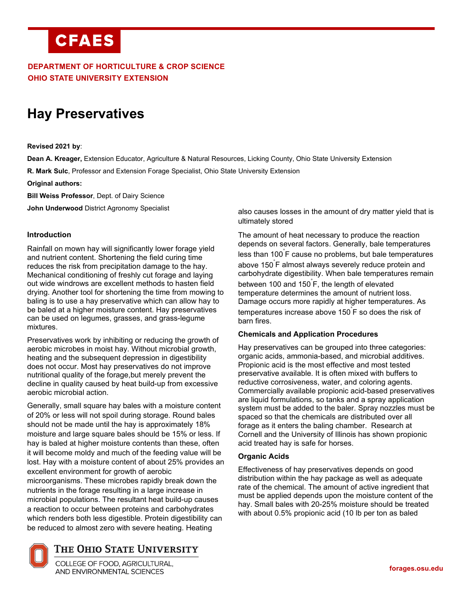# **CFAES**

# **DEPARTMENT OF HORTICULTURE & CROP SCIENCE OHIO STATE UNIVERSITY EXTENSION**

# **Hay Preservatives**

**Revised 2021 by**:

**Dean A. Kreager,** Extension Educator, Agriculture & Natural Resources, Licking County, Ohio State University Extension

**R. Mark Sulc**, Professor and Extension Forage Specialist, Ohio State University Extension

**Original authors:**

**Bill Weiss Professor**, Dept. of Dairy Science

**John Underwood** District Agronomy Specialist

#### **Introduction**

Rainfall on mown hay will significantly lower forage yield and nutrient content. Shortening the field curing time reduces the risk from precipitation damage to the hay. Mechanical conditioning of freshly cut forage and laying out wide windrows are excellent methods to hasten field drying. Another tool for shortening the time from mowing to baling is to use a hay preservative which can allow hay to be baled at a higher moisture content. Hay preservatives can be used on legumes, grasses, and grass-legume mixtures.

Preservatives work by inhibiting or reducing the growth of aerobic microbes in moist hay. Without microbial growth, heating and the subsequent depression in digestibility does not occur. Most hay preservatives do not improve nutritional quality of the forage,but merely prevent the decline in quality caused by heat build-up from excessive aerobic microbial action.

Generally, small square hay bales with a moisture content of 20% or less will not spoil during storage. Round bales should not be made until the hay is approximately 18% moisture and large square bales should be 15% or less. If hay is baled at higher moisture contents than these, often it will become moldy and much of the feeding value will be lost. Hay with a moisture content of about 25% provides an excellent environment for growth of aerobic microorganisms. These microbes rapidly break down the nutrients in the forage resulting in a large increase in microbial populations. The resultant heat build-up causes a reaction to occur between proteins and carbohydrates which renders both less digestible. Protein digestibility can be reduced to almost zero with severe heating. Heating

also causes losses in the amount of dry matter yield that is ultimately stored

The amount of heat necessary to produce the reaction depends on several factors. Generally, bale temperatures less than 100° F cause no problems, but bale temperatures above 150° F almost always severely reduce protein and carbohydrate digestibility. When bale temperatures remain between 100 and 150° F, the length of elevated temperature determines the amount of nutrient loss. Damage occurs more rapidly at higher temperatures. As temperatures increase above 150° F so does the risk of barn fires.

#### **Chemicals and Application Procedures**

Hay preservatives can be grouped into three categories: organic acids, ammonia-based, and microbial additives. Propionic acid is the most effective and most tested preservative available. It is often mixed with buffers to reductive corrosiveness, water, and coloring agents. Commercially available propionic acid-based preservatives are liquid formulations, so tanks and a spray application system must be added to the baler. Spray nozzles must be spaced so that the chemicals are distributed over all forage as it enters the baling chamber. Research at Cornell and the University of Illinois has shown propionic acid treated hay is safe for horses.

#### **Organic Acids**

Effectiveness of hay preservatives depends on good distribution within the hay package as well as adequate rate of the chemical. The amount of active ingredient that must be applied depends upon the moisture content of the hay. Small bales with 20-25% moisture should be treated with about 0.5% propionic acid (10 lb per ton as baled



# THE OHIO STATE UNIVERSITY

COLLEGE OF FOOD, AGRICULTURAL, AND ENVIRONMENTAL SCIENCES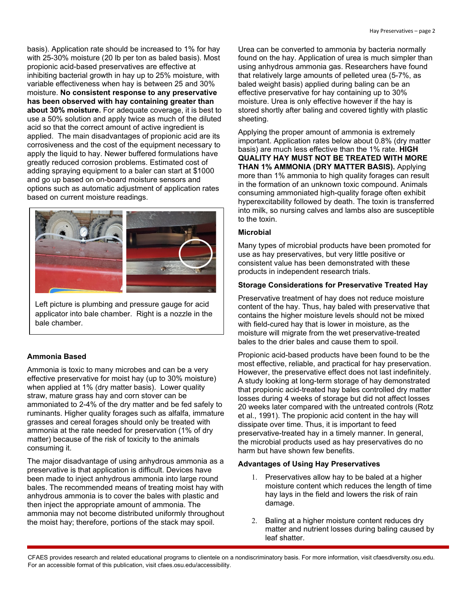basis). Application rate should be increased to 1% for hay with 25-30% moisture (20 lb per ton as baled basis). Most propionic acid-based preservatives are effective at inhibiting bacterial growth in hay up to 25% moisture, with variable effectiveness when hay is between 25 and 30% moisture. **No consistent response to any preservative has been observed with hay containing greater than about 30% moisture.** For adequate coverage, it is best to use a 50% solution and apply twice as much of the diluted acid so that the correct amount of active ingredient is applied. The main disadvantages of propionic acid are its corrosiveness and the cost of the equipment necessary to apply the liquid to hay. Newer buffered formulations have greatly reduced corrosion problems. Estimated cost of adding spraying equipment to a baler can start at \$1000 and go up based on on-board moisture sensors and options such as automatic adjustment of application rates based on current moisture readings.



Left picture is plumbing and pressure gauge for acid applicator into bale chamber. Right is a nozzle in the bale chamber.

# **Ammonia Based**

Ammonia is toxic to many microbes and can be a very effective preservative for moist hay (up to 30% moisture) when applied at 1% (dry matter basis). Lower quality straw, mature grass hay and corn stover can be ammoniated to 2-4% of the dry matter and be fed safely to ruminants. Higher quality forages such as alfalfa, immature grasses and cereal forages should only be treated with ammonia at the rate needed for preservation (1% of dry matter) because of the risk of toxicity to the animals consuming it.

The major disadvantage of using anhydrous ammonia as a preservative is that application is difficult. Devices have been made to inject anhydrous ammonia into large round bales. The recommended means of treating moist hay with anhydrous ammonia is to cover the bales with plastic and then inject the appropriate amount of ammonia. The ammonia may not become distributed uniformly throughout the moist hay; therefore, portions of the stack may spoil.

Urea can be converted to ammonia by bacteria normally found on the hay. Application of urea is much simpler than using anhydrous ammonia gas. Researchers have found that relatively large amounts of pelleted urea (5-7%, as baled weight basis) applied during baling can be an effective preservative for hay containing up to 30% moisture. Urea is only effective however if the hay is stored shortly after baling and covered tightly with plastic sheeting.

Applying the proper amount of ammonia is extremely important. Application rates below about 0.8% (dry matter basis) are much less effective than the 1% rate. **HIGH QUALITY HAY MUST NOT BE TREATED WITH MORE THAN 1% AMMONIA (DRY MATTER BASIS).** Applying more than 1% ammonia to high quality forages can result in the formation of an unknown toxic compound. Animals consuming ammoniated high-quality forage often exhibit hyperexcitability followed by death. The toxin is transferred into milk, so nursing calves and lambs also are susceptible to the toxin.

### **Microbial**

Many types of microbial products have been promoted for use as hay preservatives, but very little positive or consistent value has been demonstrated with these products in independent research trials.

# **Storage Considerations for Preservative Treated Hay**

Preservative treatment of hay does not reduce moisture content of the hay. Thus, hay baled with preservative that contains the higher moisture levels should not be mixed with field-cured hay that is lower in moisture, as the moisture will migrate from the wet preservative-treated bales to the drier bales and cause them to spoil.

Propionic acid-based products have been found to be the most effective, reliable, and practical for hay preservation. However, the preservative effect does not last indefinitely. A study looking at long-term storage of hay demonstrated that propionic acid-treated hay bales controlled dry matter losses during 4 weeks of storage but did not affect losses 20 weeks later compared with the untreated controls (Rotz et al., 1991). The propionic acid content in the hay will dissipate over time. Thus, it is important to feed preservative-treated hay in a timely manner. In general, the microbial products used as hay preservatives do no harm but have shown few benefits.

# **Advantages of Using Hay Preservatives**

- 1. Preservatives allow hay to be baled at a higher moisture content which reduces the length of time hay lays in the field and lowers the risk of rain damage.
- 2. Baling at a higher moisture content reduces dry matter and nutrient losses during baling caused by leaf shatter.

CFAES provides research and related educational programs to clientele on a nondiscriminatory basis. For more information, visit cfaesdiversity.osu.edu. For an accessible format of this publication, visit cfaes.osu.edu/accessibility.